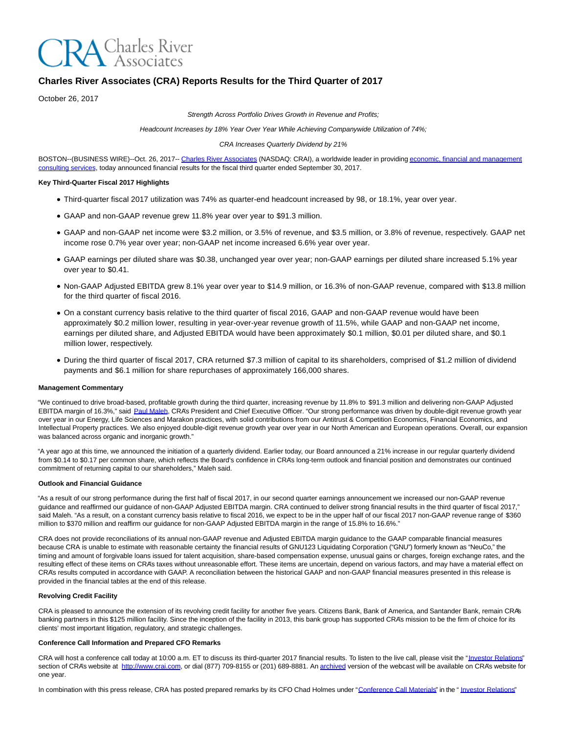

# **Charles River Associates (CRA) Reports Results for the Third Quarter of 2017**

October 26, 2017

Strength Across Portfolio Drives Growth in Revenue and Profits;

Headcount Increases by 18% Year Over Year While Achieving Companywide Utilization of 74%;

CRA Increases Quarterly Dividend by 21%

BOSTON--(BUSINESS WIRE)--Oct. 26, 2017-[- Charles River Associates \(](http://cts.businesswire.com/ct/CT?id=smartlink&url=http%3A%2F%2Fwww.crai.com%2FDefault.aspx&esheet=51705561&newsitemid=20171026005769&lan=en-US&anchor=Charles+River+Associates&index=1&md5=b0d92c0eb546a98127dc47fbee9e086b)NASDAQ: CRAI), a worldwide leader in providing [economic, financial and management](http://cts.businesswire.com/ct/CT?id=smartlink&url=http%3A%2F%2Fwww.crai.com%2FConsultingExpertise%2FDefaultCustom.aspx&esheet=51705561&newsitemid=20171026005769&lan=en-US&anchor=economic%2C+financial+and+management+consulting+services&index=2&md5=e37c6a83b81e41366efe285736f4495d) consulting services, today announced financial results for the fiscal third quarter ended September 30, 2017.

#### **Key Third-Quarter Fiscal 2017 Highlights**

- Third-quarter fiscal 2017 utilization was 74% as quarter-end headcount increased by 98, or 18.1%, year over year.
- GAAP and non-GAAP revenue grew 11.8% year over year to \$91.3 million.
- GAAP and non-GAAP net income were \$3.2 million, or 3.5% of revenue, and \$3.5 million, or 3.8% of revenue, respectively. GAAP net income rose 0.7% year over year; non-GAAP net income increased 6.6% year over year.
- GAAP earnings per diluted share was \$0.38, unchanged year over year; non-GAAP earnings per diluted share increased 5.1% year over year to \$0.41.
- Non-GAAP Adjusted EBITDA grew 8.1% year over year to \$14.9 million, or 16.3% of non-GAAP revenue, compared with \$13.8 million for the third quarter of fiscal 2016.
- On a constant currency basis relative to the third quarter of fiscal 2016, GAAP and non-GAAP revenue would have been approximately \$0.2 million lower, resulting in year-over-year revenue growth of 11.5%, while GAAP and non-GAAP net income, earnings per diluted share, and Adjusted EBITDA would have been approximately \$0.1 million, \$0.01 per diluted share, and \$0.1 million lower, respectively.
- During the third quarter of fiscal 2017, CRA returned \$7.3 million of capital to its shareholders, comprised of \$1.2 million of dividend payments and \$6.1 million for share repurchases of approximately 166,000 shares.

#### **Management Commentary**

"We continued to drive broad-based, profitable growth during the third quarter, increasing revenue by 11.8% to \$91.3 million and delivering non-GAAP Adjusted EBITDA margin of 16.3%," said [Paul Maleh,](http://cts.businesswire.com/ct/CT?id=smartlink&url=http%3A%2F%2Fwww.crai.com%2Fexpert%2Fpaul-maleh&esheet=51705561&newsitemid=20171026005769&lan=en-US&anchor=Paul+Maleh&index=3&md5=87311901db97c43670fc4a0ed7a072ad) CRA's President and Chief Executive Officer. "Our strong performance was driven by double-digit revenue growth year over year in our Energy, Life Sciences and Marakon practices, with solid contributions from our Antitrust & Competition Economics, Financial Economics, and Intellectual Property practices. We also enjoyed double-digit revenue growth year over year in our North American and European operations. Overall, our expansion was balanced across organic and inorganic growth."

"A year ago at this time, we announced the initiation of a quarterly dividend. Earlier today, our Board announced a 21% increase in our regular quarterly dividend from \$0.14 to \$0.17 per common share, which reflects the Board's confidence in CRA's long-term outlook and financial position and demonstrates our continued commitment of returning capital to our shareholders," Maleh said.

#### **Outlook and Financial Guidance**

"As a result of our strong performance during the first half of fiscal 2017, in our second quarter earnings announcement we increased our non-GAAP revenue guidance and reaffirmed our guidance of non-GAAP Adjusted EBITDA margin. CRA continued to deliver strong financial results in the third quarter of fiscal 2017," said Maleh. "As a result, on a constant currency basis relative to fiscal 2016, we expect to be in the upper half of our fiscal 2017 non-GAAP revenue range of \$360 million to \$370 million and reaffirm our guidance for non-GAAP Adjusted EBITDA margin in the range of 15.8% to 16.6%."

CRA does not provide reconciliations of its annual non-GAAP revenue and Adjusted EBITDA margin guidance to the GAAP comparable financial measures because CRA is unable to estimate with reasonable certainty the financial results of GNU123 Liquidating Corporation ("GNU") formerly known as "NeuCo," the timing and amount of forgivable loans issued for talent acquisition, share-based compensation expense, unusual gains or charges, foreign exchange rates, and the resulting effect of these items on CRA's taxes without unreasonable effort. These items are uncertain, depend on various factors, and may have a material effect on CRA's results computed in accordance with GAAP. A reconciliation between the historical GAAP and non-GAAP financial measures presented in this release is provided in the financial tables at the end of this release.

#### **Revolving Credit Facility**

CRA is pleased to announce the extension of its revolving credit facility for another five years. Citizens Bank, Bank of America, and Santander Bank, remain CRA's banking partners in this \$125 million facility. Since the inception of the facility in 2013, this bank group has supported CRA's mission to be the firm of choice for its clients' most important litigation, regulatory, and strategic challenges.

#### **Conference Call Information and Prepared CFO Remarks**

CRA will host a conference call today at 10:00 a.m. ET to discuss its third-quarter 2017 financial results. To listen to the live call, please visit the ["Investor Relations"](http://cts.businesswire.com/ct/CT?id=smartlink&url=http%3A%2F%2Fphx.corporate-ir.net%2Fphoenix.zhtml%3Fc%3D97435%26p%3Dirol-IRHome&esheet=51705561&newsitemid=20171026005769&lan=en-US&anchor=Investor+Relations&index=4&md5=fb32fd9e37420a4393e3d25a2e95a911) section of CRA's website at [http://www.crai.com,](http://cts.businesswire.com/ct/CT?id=smartlink&url=http%3A%2F%2Fwww.crai.com%2FDefault.aspx&esheet=51705561&newsitemid=20171026005769&lan=en-US&anchor=http%3A%2F%2Fwww.crai.com&index=5&md5=51d7620dd49c189a2dea3d838dc70481) or dial (877) 709-8155 or (201) 689-8881. A[n archived v](http://cts.businesswire.com/ct/CT?id=smartlink&url=http%3A%2F%2Fphx.corporate-ir.net%2Fphoenix.zhtml%3Fc%3D97435%26p%3Dirol-calendarpast&esheet=51705561&newsitemid=20171026005769&lan=en-US&anchor=archived&index=6&md5=0cd82d37b9e890f97eb9a9c144919e09)ersion of the webcast will be available on CRA's website for one year.

In combination with this press release, CRA has posted prepared remarks by its CFO Chad Holmes under ["Conference Call Materials"](http://cts.businesswire.com/ct/CT?id=smartlink&url=http%3A%2F%2Fphx.corporate-ir.net%2Fphoenix.zhtml%3Fc%3D97435%26p%3Dirol-presentations&esheet=51705561&newsitemid=20171026005769&lan=en-US&anchor=Conference+Call+Materials&index=7&md5=9fc21de73ae814024edaef4cd6414235) in the " [Investor Relations"](http://cts.businesswire.com/ct/CT?id=smartlink&url=http%3A%2F%2Fphx.corporate-ir.net%2Fphoenix.zhtml%3Fc%3D97435%26p%3Dirol-IRHome&esheet=51705561&newsitemid=20171026005769&lan=en-US&anchor=Investor+Relations&index=8&md5=b31923c143d73741f73317c73c745875)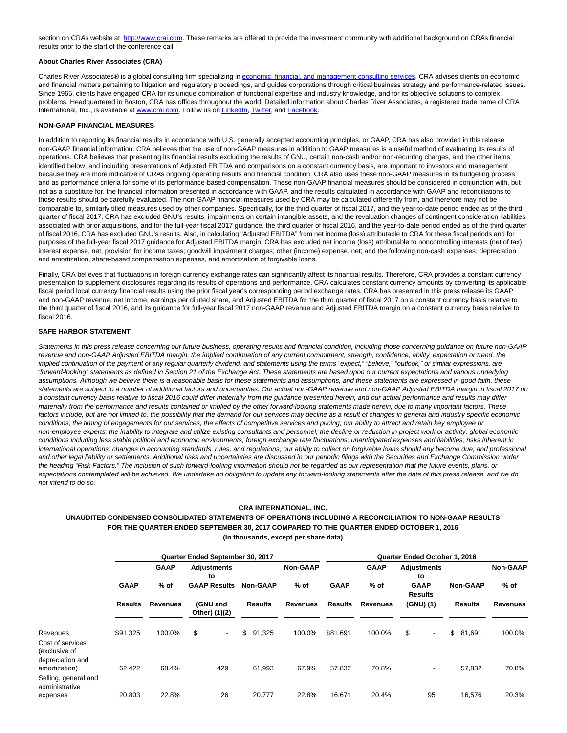section on CRA's website at [http://www.crai.com.](http://cts.businesswire.com/ct/CT?id=smartlink&url=http%3A%2F%2Fwww.crai.com%2FDefault.aspx&esheet=51705561&newsitemid=20171026005769&lan=en-US&anchor=http%3A%2F%2Fwww.crai.com&index=9&md5=bf747f6ef9a4f70b19cc145849c4ccc1) These remarks are offered to provide the investment community with additional background on CRA's financial results prior to the start of the conference call.

#### **About Charles River Associates (CRA)**

Charles River Associates® is a global consulting firm specializing in [economic, financial, and management consulting services.](http://cts.businesswire.com/ct/CT?id=smartlink&url=http%3A%2F%2Fwww.crai.com%2F&esheet=51705561&newsitemid=20171026005769&lan=en-US&anchor=economic%2C+financial%2C+and+management+consulting+services&index=10&md5=f87d624a59f218bae4f2205ed3b263af) CRA advises clients on economic and financial matters pertaining to litigation and regulatory proceedings, and guides corporations through critical business strategy and performance-related issues. Since 1965, clients have engaged CRA for its unique combination of functional expertise and industry knowledge, and for its objective solutions to complex problems. Headquartered in Boston, CRA has offices throughout the world. Detailed information about Charles River Associates, a registered trade name of CRA International, Inc., is available at [www.crai.com.](http://cts.businesswire.com/ct/CT?id=smartlink&url=http%3A%2F%2Fwww.crai.com&esheet=51705561&newsitemid=20171026005769&lan=en-US&anchor=www.crai.com&index=11&md5=66b0404d7d5ae54eb99540463698760b) Follow us on [LinkedIn,](http://cts.businesswire.com/ct/CT?id=smartlink&url=https%3A%2F%2Fwww.linkedin.com%2Fcompany%2Fcharles-river-associates&esheet=51705561&newsitemid=20171026005769&lan=en-US&anchor=LinkedIn&index=12&md5=1c08835c9043a1b38f8850b8344b0722) [Twitter,](http://cts.businesswire.com/ct/CT?id=smartlink&url=https%3A%2F%2Ftwitter.com%2FNews_CRA&esheet=51705561&newsitemid=20171026005769&lan=en-US&anchor=Twitter&index=13&md5=866a3fb250ee450d367b9a33051bd34b) and [Facebook.](http://cts.businesswire.com/ct/CT?id=smartlink&url=https%3A%2F%2Fwww.facebook.com%2FCharlesRiverAssociates&esheet=51705561&newsitemid=20171026005769&lan=en-US&anchor=Facebook&index=14&md5=2f1632f5168c0e84ab0162c3851aefdc)

#### **NON-GAAP FINANCIAL MEASURES**

In addition to reporting its financial results in accordance with U.S. generally accepted accounting principles, or GAAP, CRA has also provided in this release non-GAAP financial information. CRA believes that the use of non-GAAP measures in addition to GAAP measures is a useful method of evaluating its results of operations. CRA believes that presenting its financial results excluding the results of GNU, certain non-cash and/or non-recurring charges, and the other items identified below, and including presentations of Adjusted EBITDA and comparisons on a constant currency basis, are important to investors and management because they are more indicative of CRA's ongoing operating results and financial condition. CRA also uses these non-GAAP measures in its budgeting process, and as performance criteria for some of its performance-based compensation. These non-GAAP financial measures should be considered in conjunction with, but not as a substitute for, the financial information presented in accordance with GAAP, and the results calculated in accordance with GAAP and reconciliations to those results should be carefully evaluated. The non-GAAP financial measures used by CRA may be calculated differently from, and therefore may not be comparable to, similarly titled measures used by other companies. Specifically, for the third quarter of fiscal 2017, and the year-to-date period ended as of the third quarter of fiscal 2017, CRA has excluded GNU's results, impairments on certain intangible assets, and the revaluation changes of contingent consideration liabilities associated with prior acquisitions, and for the full-year fiscal 2017 guidance, the third quarter of fiscal 2016, and the year-to-date period ended as of the third quarter of fiscal 2016, CRA has excluded GNU's results. Also, in calculating "Adjusted EBITDA" from net income (loss) attributable to CRA for these fiscal periods and for purposes of the full-year fiscal 2017 guidance for Adjusted EBITDA margin, CRA has excluded net income (loss) attributable to noncontrolling interests (net of tax); interest expense, net; provision for income taxes; goodwill impairment charges; other (income) expense, net; and the following non-cash expenses: depreciation and amortization, share-based compensation expenses, and amortization of forgivable loans.

Finally, CRA believes that fluctuations in foreign currency exchange rates can significantly affect its financial results. Therefore, CRA provides a constant currency presentation to supplement disclosures regarding its results of operations and performance. CRA calculates constant currency amounts by converting its applicable fiscal period local currency financial results using the prior fiscal year's corresponding period exchange rates. CRA has presented in this press release its GAAP and non-GAAP revenue, net income, earnings per diluted share, and Adjusted EBITDA for the third quarter of fiscal 2017 on a constant currency basis relative to the third quarter of fiscal 2016, and its guidance for full-year fiscal 2017 non-GAAP revenue and Adjusted EBITDA margin on a constant currency basis relative to fiscal 2016.

#### **SAFE HARBOR STATEMENT**

Statements in this press release concerning our future business, operating results and financial condition, including those concerning guidance on future non-GAAP revenue and non-GAAP Adjusted EBITDA margin, the implied continuation of any current commitment, strength, confidence, ability, expectation or trend, the implied continuation of the payment of any regular quarterly dividend, and statements using the terms "expect," "believe," "outlook," or similar expressions, are "forward-looking" statements as defined in Section 21 of the Exchange Act. These statements are based upon our current expectations and various underlying assumptions. Although we believe there is a reasonable basis for these statements and assumptions, and these statements are expressed in good faith, these statements are subject to a number of additional factors and uncertainties. Our actual non-GAAP revenue and non-GAAP Adjusted EBITDA margin in fiscal 2017 on a constant currency basis relative to fiscal 2016 could differ materially from the guidance presented herein, and our actual performance and results may differ materially from the performance and results contained or implied by the other forward-looking statements made herein, due to many important factors. These factors include, but are not limited to, the possibility that the demand for our services may decline as a result of changes in general and industry specific economic conditions; the timing of engagements for our services; the effects of competitive services and pricing; our ability to attract and retain key employee or non-employee experts; the inability to integrate and utilize existing consultants and personnel; the decline or reduction in project work or activity; global economic conditions including less stable political and economic environments; foreign exchange rate fluctuations; unanticipated expenses and liabilities; risks inherent in international operations; changes in accounting standards, rules, and regulations; our ability to collect on forgivable loans should any become due; and professional and other legal liability or settlements. Additional risks and uncertainties are discussed in our periodic filings with the Securities and Exchange Commission under the heading "Risk Factors." The inclusion of such forward-looking information should not be regarded as our representation that the future events, plans, or expectations contemplated will be achieved. We undertake no obligation to update any forward-looking statements after the date of this press release, and we do not intend to do so.

#### **CRA INTERNATIONAL, INC.**

## **UNAUDITED CONDENSED CONSOLIDATED STATEMENTS OF OPERATIONS INCLUDING A RECONCILIATION TO NON-GAAP RESULTS FOR THE QUARTER ENDED SEPTEMBER 30, 2017 COMPARED TO THE QUARTER ENDED OCTOBER 1, 2016 (In thousands, except per share data)**

|                                                                             |                                   |             | Quarter Ended September 30, 2017 |                 | Quarter Ended October 1, 2016 |                |                 |                               |                 |                 |  |  |
|-----------------------------------------------------------------------------|-----------------------------------|-------------|----------------------------------|-----------------|-------------------------------|----------------|-----------------|-------------------------------|-----------------|-----------------|--|--|
|                                                                             |                                   | <b>GAAP</b> | <b>Adjustments</b><br>to         |                 | <b>Non-GAAP</b>               |                | <b>GAAP</b>     | <b>Adjustments</b><br>to      |                 | <b>Non-GAAP</b> |  |  |
|                                                                             | <b>GAAP</b>                       | $%$ of      | <b>GAAP Results</b>              | <b>Non-GAAP</b> | $%$ of                        | <b>GAAP</b>    | $%$ of          | <b>GAAP</b><br><b>Results</b> | <b>Non-GAAP</b> | $%$ of          |  |  |
|                                                                             | <b>Revenues</b><br><b>Results</b> |             | (GNU and<br>Other) (1)(2)        | <b>Results</b>  | Revenues                      | <b>Results</b> | <b>Revenues</b> | (GNU) (1)                     | <b>Results</b>  | <b>Revenues</b> |  |  |
| Revenues<br>Cost of services<br>(exclusive of                               | \$91,325                          | 100.0%      | \$<br>$\overline{\phantom{a}}$   | \$<br>91,325    | 100.0%                        | \$81,691       | 100.0%          | \$<br>$\blacksquare$          | \$<br>81,691    | 100.0%          |  |  |
| depreciation and<br>amortization)<br>Selling, general and<br>administrative | 62.422                            | 68.4%       | 429                              | 61.993          | 67.9%                         | 57,832         | 70.8%           | $\overline{\phantom{a}}$      | 57,832          | 70.8%           |  |  |
| expenses                                                                    | 20,803                            | 22.8%       | 26                               | 20,777          | 22.8%                         | 16,671         | 20.4%           | 95                            | 16,576          | 20.3%           |  |  |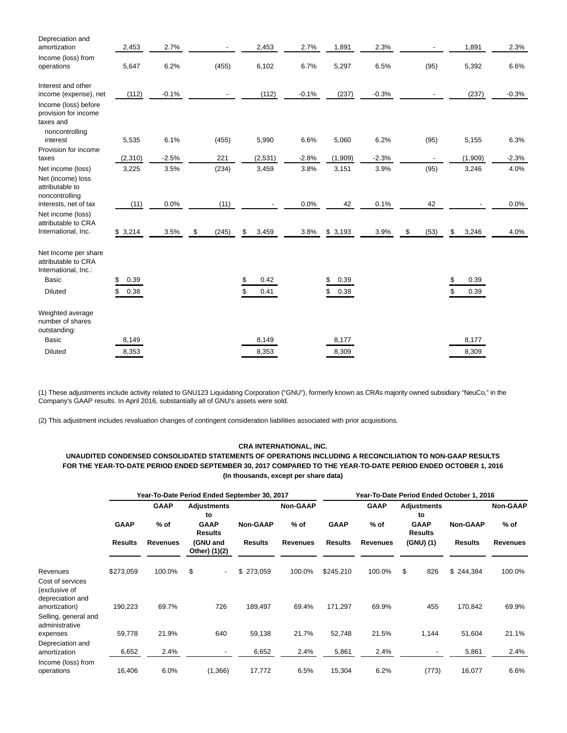| Depreciation and                                                    |            |         |             |             |         |            |         |            |             |         |
|---------------------------------------------------------------------|------------|---------|-------------|-------------|---------|------------|---------|------------|-------------|---------|
| amortization                                                        | 2,453      | 2.7%    |             | 2,453       | 2.7%    | 1,891      | 2.3%    |            | 1,891       | 2.3%    |
| Income (loss) from<br>operations                                    | 5,647      | 6.2%    | (455)       | 6,102       | 6.7%    | 5,297      | 6.5%    | (95)       | 5,392       | 6.6%    |
| Interest and other                                                  |            |         |             |             |         |            |         |            |             |         |
| income (expense), net                                               | (112)      | $-0.1%$ |             | (112)       | $-0.1%$ | (237)      | $-0.3%$ |            | (237)       | $-0.3%$ |
| Income (loss) before<br>provision for income<br>taxes and           |            |         |             |             |         |            |         |            |             |         |
| noncontrolling<br>interest                                          | 5,535      | 6.1%    | (455)       | 5,990       | 6.6%    | 5,060      | 6.2%    | (95)       | 5,155       | 6.3%    |
| Provision for income<br>taxes                                       | (2, 310)   | $-2.5%$ | 221         | (2,531)     | $-2.8%$ | (1,909)    | $-2.3%$ |            | (1,909)     | $-2.3%$ |
| Net income (loss)                                                   | 3,225      | 3.5%    | (234)       | 3,459       | 3.8%    | 3,151      | 3.9%    | (95)       | 3,246       | 4.0%    |
| Net (income) loss<br>attributable to<br>noncontrolling              |            | 0.0%    |             |             | 0.0%    |            | 0.1%    |            |             |         |
| interests, net of tax                                               | (11)       |         | (11)        |             |         | 42         |         | 42         |             | 0.0%    |
| Net income (loss)<br>attributable to CRA                            |            |         |             |             |         |            |         |            |             |         |
| International, Inc.                                                 | \$3,214    | 3.5%    | \$<br>(245) | \$<br>3,459 | 3.8%    | \$3,193    | 3.9%    | \$<br>(53) | \$<br>3,246 | 4.0%    |
| Net Income per share<br>attributable to CRA<br>International, Inc.: |            |         |             |             |         |            |         |            |             |         |
| <b>Basic</b>                                                        | 0.39<br>\$ |         |             | 0.42        |         | 0.39<br>\$ |         |            | 0.39<br>\$  |         |
| <b>Diluted</b>                                                      | \$<br>0.38 |         |             | 0.41        |         | 0.38<br>\$ |         |            | 0.39        |         |
| Weighted average<br>number of shares<br>outstanding:                |            |         |             |             |         |            |         |            |             |         |
| <b>Basic</b>                                                        | 8,149      |         |             | 8,149       |         | 8,177      |         |            | 8,177       |         |
| <b>Diluted</b>                                                      | 8,353      |         |             | 8,353       |         | 8,309      |         |            | 8,309       |         |

(1) These adjustments include activity related to GNU123 Liquidating Corporation ("GNU"), formerly known as CRA's majority owned subsidiary "NeuCo," in the Company's GAAP results. In April 2016, substantially all of GNU's assets were sold.

(2) This adjustment includes revaluation changes of contingent consideration liabilities associated with prior acquisitions.

## **CRA INTERNATIONAL, INC.**

**UNAUDITED CONDENSED CONSOLIDATED STATEMENTS OF OPERATIONS INCLUDING A RECONCILIATION TO NON-GAAP RESULTS FOR THE YEAR-TO-DATE PERIOD ENDED SEPTEMBER 30, 2017 COMPARED TO THE YEAR-TO-DATE PERIOD ENDED OCTOBER 1, 2016 (In thousands, except per share data)**

|                                                       |                |                 | Year-To-Date Period Ended September 30, 2017 |                 | Year-To-Date Period Ended October 1, 2016 |                |                 |                               |                 |                 |  |
|-------------------------------------------------------|----------------|-----------------|----------------------------------------------|-----------------|-------------------------------------------|----------------|-----------------|-------------------------------|-----------------|-----------------|--|
|                                                       |                | <b>GAAP</b>     | Adjustments<br>to                            |                 | <b>Non-GAAP</b>                           |                | <b>GAAP</b>     | Adjustments<br>to             |                 | <b>Non-GAAP</b> |  |
|                                                       | <b>GAAP</b>    | $%$ of          | <b>GAAP</b><br><b>Results</b>                | <b>Non-GAAP</b> | $%$ of                                    | <b>GAAP</b>    | $%$ of          | <b>GAAP</b><br><b>Results</b> | <b>Non-GAAP</b> | $%$ of          |  |
|                                                       | <b>Results</b> | <b>Revenues</b> | (GNU and<br>Other) (1)(2)                    | <b>Results</b>  | <b>Revenues</b>                           | <b>Results</b> | <b>Revenues</b> | (GNU)(1)                      | <b>Results</b>  | <b>Revenues</b> |  |
| Revenues                                              | \$273,059      | 100.0%          | \$<br>$\overline{\phantom{a}}$               | \$273,059       | 100.0%                                    | \$245,210      | 100.0%          | \$<br>826                     | \$244,384       | 100.0%          |  |
| Cost of services<br>(exclusive of<br>depreciation and |                |                 |                                              |                 |                                           |                |                 |                               |                 |                 |  |
| amortization)<br>Selling, general and                 | 190,223        | 69.7%           | 726                                          | 189,497         | 69.4%                                     | 171,297        | 69.9%           | 455                           | 170,842         | 69.9%           |  |
| administrative<br>expenses                            | 59,778         | 21.9%           | 640                                          | 59,138          | 21.7%                                     | 52,748         | 21.5%           | 1,144                         | 51,604          | 21.1%           |  |
| Depreciation and<br>amortization                      | 6,652          | 2.4%            |                                              | 6,652           | 2.4%                                      | 5,861          | 2.4%            |                               | 5,861           | 2.4%            |  |
| Income (loss) from<br>operations                      | 16,406         | 6.0%            | (1,366)                                      | 17,772          | 6.5%                                      | 15,304         | 6.2%            | (773)                         | 16,077          | 6.6%            |  |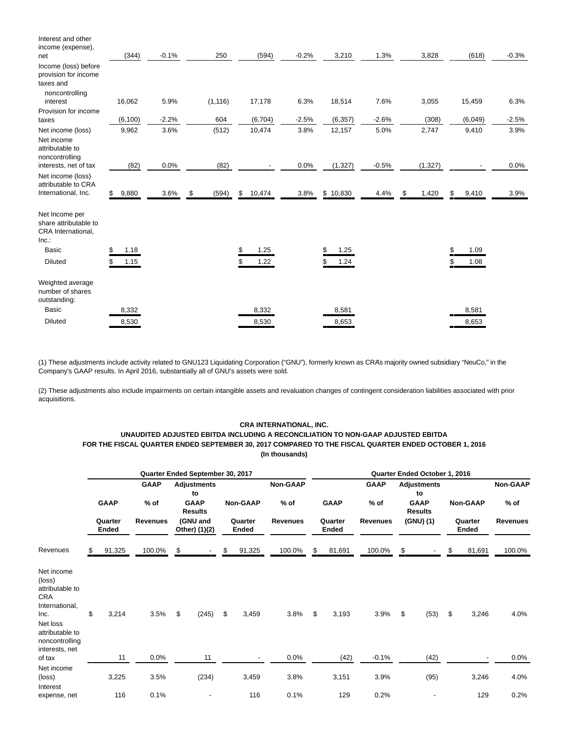| Interest and other<br>income (expense),                                     |             |         |             |              |         |          |         |             |             |         |
|-----------------------------------------------------------------------------|-------------|---------|-------------|--------------|---------|----------|---------|-------------|-------------|---------|
| net                                                                         | (344)       | $-0.1%$ | 250         | (594)        | $-0.2%$ | 3,210    | 1.3%    | 3,828       | (618)       | $-0.3%$ |
| Income (loss) before<br>provision for income<br>taxes and<br>noncontrolling |             |         |             |              |         |          |         |             |             |         |
| interest                                                                    | 16,062      | 5.9%    | (1, 116)    | 17,178       | 6.3%    | 18,514   | 7.6%    | 3,055       | 15,459      | 6.3%    |
| Provision for income                                                        |             |         |             |              |         |          |         |             |             |         |
| taxes                                                                       | (6, 100)    | $-2.2%$ | 604         | (6,704)      | $-2.5%$ | (6, 357) | $-2.6%$ | (308)       | (6,049)     | $-2.5%$ |
| Net income (loss)                                                           | 9,962       | 3.6%    | (512)       | 10,474       | 3.8%    | 12,157   | 5.0%    | 2,747       | 9,410       | 3.9%    |
| Net income<br>attributable to<br>noncontrolling<br>interests, net of tax    | (82)        | 0.0%    | (82)        |              | 0.0%    | (1, 327) | $-0.5%$ | (1, 327)    |             | 0.0%    |
| Net income (loss)<br>attributable to CRA                                    |             |         |             |              |         |          |         |             |             |         |
| International, Inc.                                                         | 9,880<br>\$ | 3.6%    | \$<br>(594) | 10,474<br>\$ | 3.8%    | \$10,830 | 4.4%    | \$<br>1,420 | \$<br>9,410 | 3.9%    |
| Net Income per<br>share attributable to<br>CRA International,<br>Inc.       |             |         |             |              |         |          |         |             |             |         |
| <b>Basic</b>                                                                | 1.18<br>S   |         |             | 1.25         |         | 1.25     |         |             | 1.09        |         |
| <b>Diluted</b>                                                              | 1.15<br>\$  |         |             | 1.22<br>S    |         | 1.24     |         |             | 1.08        |         |
| Weighted average<br>number of shares<br>outstanding:                        |             |         |             |              |         |          |         |             |             |         |
| <b>Basic</b>                                                                | 8,332       |         |             | 8,332        |         | 8,581    |         |             | 8,581       |         |
| <b>Diluted</b>                                                              | 8,530       |         |             | 8,530        |         | 8,653    |         |             | 8,653       |         |

(1) These adjustments include activity related to GNU123 Liquidating Corporation ("GNU"), formerly known as CRA's majority owned subsidiary "NeuCo," in the Company's GAAP results. In April 2016, substantially all of GNU's assets were sold.

(2) These adjustments also include impairments on certain intangible assets and revaluation changes of contingent consideration liabilities associated with prior acquisitions.

#### **CRA INTERNATIONAL, INC.**

## **UNAUDITED ADJUSTED EBITDA INCLUDING A RECONCILIATION TO NON-GAAP ADJUSTED EBITDA FOR THE FISCAL QUARTER ENDED SEPTEMBER 30, 2017 COMPARED TO THE FISCAL QUARTER ENDED OCTOBER 1, 2016 (In thousands)**

|                                                                                                                                                              |                  |             |                       |                           | Quarter Ended September 30, 2017                          |                  |                                   |                    | Quarter Ended October 1, 2016 |                  |                       |           |                                                           |                  |                 |                           |
|--------------------------------------------------------------------------------------------------------------------------------------------------------------|------------------|-------------|-----------------------|---------------------------|-----------------------------------------------------------|------------------|-----------------------------------|--------------------|-------------------------------|------------------|-----------------------|-----------|-----------------------------------------------------------|------------------|-----------------|---------------------------|
|                                                                                                                                                              |                  | <b>GAAP</b> | <b>GAAP</b><br>$%$ of |                           | <b>Adjustments</b><br>to<br><b>GAAP</b><br><b>Results</b> |                  | Non-GAAP                          | Non-GAAP<br>$%$ of |                               | <b>GAAP</b>      | <b>GAAP</b><br>$%$ of |           | <b>Adjustments</b><br>to<br><b>GAAP</b><br><b>Results</b> |                  | <b>Non-GAAP</b> | <b>Non-GAAP</b><br>$%$ of |
|                                                                                                                                                              | Quarter<br>Ended |             | <b>Revenues</b>       | (GNU and<br>Other) (1)(2) |                                                           | Quarter<br>Ended |                                   | <b>Revenues</b>    |                               | Quarter<br>Ended | <b>Revenues</b>       | (GNU) (1) |                                                           | Quarter<br>Ended |                 | <b>Revenues</b>           |
| Revenues                                                                                                                                                     | \$.              | 91,325      | 100.0%                | \$                        |                                                           | \$               | 91,325                            | 100.0%             | \$                            | 81,691           | 100.0%                | \$        |                                                           | \$               | 81,691          | 100.0%                    |
| Net income<br>(loss)<br>attributable to<br><b>CRA</b><br>International,<br>Inc.<br>Net loss<br>attributable to<br>noncontrolling<br>interests, net<br>of tax | \$               | 3,214<br>11 | 3.5%<br>0.0%          | \$                        | (245)<br>11                                               | \$               | 3,459<br>$\overline{\phantom{a}}$ | 3.8%<br>0.0%       | \$                            | 3,193<br>(42)    | 3.9%<br>$-0.1%$       | \$        | (53)<br>(42)                                              | \$               | 3,246           | 4.0%<br>0.0%              |
| Net income<br>(loss)                                                                                                                                         |                  | 3,225       | 3.5%                  |                           | (234)                                                     |                  | 3,459                             | 3.8%               |                               | 3,151            | 3.9%                  |           | (95)                                                      |                  | 3,246           | 4.0%                      |
| Interest<br>expense, net                                                                                                                                     |                  | 116         | 0.1%                  |                           |                                                           |                  | 116                               | 0.1%               |                               | 129              | 0.2%                  |           |                                                           |                  | 129             | 0.2%                      |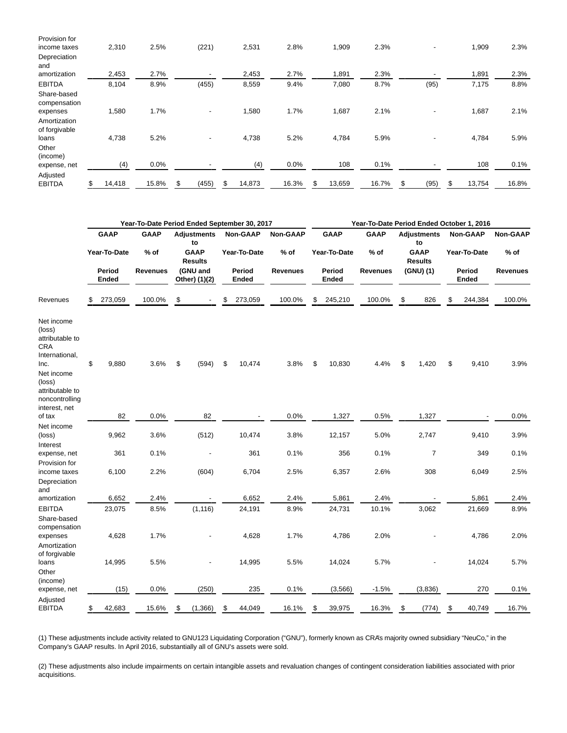| Provision for                 |              |       |                              |              |       |      |        |       |                          |              |       |
|-------------------------------|--------------|-------|------------------------------|--------------|-------|------|--------|-------|--------------------------|--------------|-------|
| income taxes                  | 2,310        | 2.5%  | (221)                        | 2,531        | 2.8%  |      | 1,909  | 2.3%  | $\overline{\phantom{a}}$ | 1,909        | 2.3%  |
| Depreciation                  |              |       |                              |              |       |      |        |       |                          |              |       |
| and                           |              |       |                              |              |       |      |        |       |                          |              |       |
| amortization                  | 2,453        | 2.7%  |                              | 2,453        | 2.7%  |      | 1,891  | 2.3%  |                          | 1,891        | 2.3%  |
| <b>EBITDA</b>                 | 8,104        | 8.9%  | (455)                        | 8,559        | 9.4%  |      | 7,080  | 8.7%  | (95)                     | 7,175        | 8.8%  |
| Share-based<br>compensation   |              |       |                              |              |       |      |        |       |                          |              |       |
| expenses                      | 1,580        | 1.7%  | $\qquad \qquad \blacksquare$ | 1,580        |       | 1.7% | 1,687  | 2.1%  |                          | 1,687        | 2.1%  |
| Amortization<br>of forgivable |              |       |                              |              |       |      |        |       |                          |              |       |
| loans                         | 4,738        | 5.2%  | $\qquad \qquad \blacksquare$ | 4,738        | 5.2%  |      | 4,784  | 5.9%  |                          | 4,784        | 5.9%  |
| Other<br>(income)             |              |       |                              |              |       |      |        |       |                          |              |       |
| expense, net                  | (4)          | 0.0%  |                              | (4)          | 0.0%  |      | 108    | 0.1%  |                          | 108          | 0.1%  |
| Adjusted<br><b>EBITDA</b>     | \$<br>14,418 | 15.8% | \$<br>(455)                  | \$<br>14,873 | 16.3% |      | 13,659 | 16.7% | \$<br>(95)               | \$<br>13,754 | 16.8% |
|                               |              |       |                              |              |       |      |        |       |                          |              |       |

|                                                                                                                            | Year-To-Date Period Ended September 30, 2017 |              |             |                               |                           |    |                      |                 |                        | Year-To-Date Period Ended October 1, 2016 |                               |    |                          |              |                 |                 |
|----------------------------------------------------------------------------------------------------------------------------|----------------------------------------------|--------------|-------------|-------------------------------|---------------------------|----|----------------------|-----------------|------------------------|-------------------------------------------|-------------------------------|----|--------------------------|--------------|-----------------|-----------------|
|                                                                                                                            |                                              | <b>GAAP</b>  | <b>GAAP</b> |                               | <b>Adjustments</b><br>to  |    | <b>Non-GAAP</b>      | Non-GAAP        |                        | <b>GAAP</b>                               | <b>GAAP</b>                   |    | <b>Adjustments</b><br>to |              | <b>Non-GAAP</b> | <b>Non-GAAP</b> |
|                                                                                                                            |                                              | Year-To-Date | % of        | <b>GAAP</b><br><b>Results</b> |                           |    | Year-To-Date<br>% of |                 | Year-To-Date<br>$%$ of |                                           | <b>GAAP</b><br><b>Results</b> |    |                          | Year-To-Date | % of            |                 |
|                                                                                                                            | Period<br>Ended                              |              | Revenues    |                               | (GNU and<br>Other) (1)(2) |    | Period<br>Ended      | <b>Revenues</b> |                        | Period<br>Ended                           | <b>Revenues</b>               |    | (GNU) (1)                |              | Period<br>Ended | <b>Revenues</b> |
| Revenues                                                                                                                   | \$                                           | 273,059      | 100.0%      | \$                            |                           | \$ | 273,059              | 100.0%          | \$                     | 245,210                                   | 100.0%                        | \$ | 826                      | \$           | 244,384         | 100.0%          |
| Net income<br>(loss)<br>attributable to<br><b>CRA</b><br>International,<br>Inc.<br>Net income<br>(loss)<br>attributable to | \$                                           | 9,880        | 3.6%        | \$                            | (594)                     | \$ | 10,474               | 3.8%            | \$                     | 10,830                                    | 4.4%                          | \$ | 1,420                    | \$           | 9,410           | 3.9%            |
| noncontrolling<br>interest, net<br>of tax                                                                                  |                                              | 82           | 0.0%        |                               | 82                        |    |                      | 0.0%            |                        | 1,327                                     | 0.5%                          |    | 1,327                    |              |                 | 0.0%            |
| Net income<br>(loss)                                                                                                       |                                              | 9,962        | 3.6%        |                               | (512)                     |    | 10,474               | 3.8%            |                        | 12,157                                    | 5.0%                          |    | 2,747                    |              | 9,410           | 3.9%            |
| Interest<br>expense, net                                                                                                   |                                              | 361          | 0.1%        |                               |                           |    | 361                  | 0.1%            |                        | 356                                       | 0.1%                          |    | $\overline{7}$           |              | 349             | 0.1%            |
| Provision for<br>income taxes<br>Depreciation                                                                              |                                              | 6,100        | 2.2%        |                               | (604)                     |    | 6,704                | 2.5%            |                        | 6,357                                     | 2.6%                          |    | 308                      |              | 6,049           | 2.5%            |
| and<br>amortization                                                                                                        |                                              | 6,652        | 2.4%        |                               |                           |    | 6,652                | 2.4%            |                        | 5,861                                     | 2.4%                          |    |                          |              | 5,861           | 2.4%            |
| <b>EBITDA</b><br>Share-based                                                                                               |                                              | 23,075       | 8.5%        |                               | (1, 116)                  |    | 24,191               | 8.9%            |                        | 24,731                                    | 10.1%                         |    | 3,062                    |              | 21,669          | 8.9%            |
| compensation<br>expenses<br>Amortization                                                                                   |                                              | 4,628        | 1.7%        |                               |                           |    | 4,628                | 1.7%            |                        | 4,786                                     | 2.0%                          |    |                          |              | 4,786           | 2.0%            |
| of forgivable<br>loans<br>Other                                                                                            |                                              | 14,995       | 5.5%        |                               |                           |    | 14,995               | 5.5%            |                        | 14,024                                    | 5.7%                          |    |                          |              | 14,024          | 5.7%            |
| (income)<br>expense, net                                                                                                   |                                              | (15)         | 0.0%        |                               | (250)                     |    | 235                  | 0.1%            |                        | (3, 566)                                  | $-1.5%$                       |    | (3,836)                  |              | 270             | 0.1%            |
| Adjusted<br><b>EBITDA</b>                                                                                                  | \$                                           | 42,683       | 15.6%       | \$                            | (1,366)                   | \$ | 44,049               | 16.1%           | \$                     | 39,975                                    | 16.3%                         | \$ | (774)                    | \$           | 40,749          | 16.7%           |

(1) These adjustments include activity related to GNU123 Liquidating Corporation ("GNU"), formerly known as CRA's majority owned subsidiary "NeuCo," in the Company's GAAP results. In April 2016, substantially all of GNU's assets were sold.

(2) These adjustments also include impairments on certain intangible assets and revaluation changes of contingent consideration liabilities associated with prior acquisitions.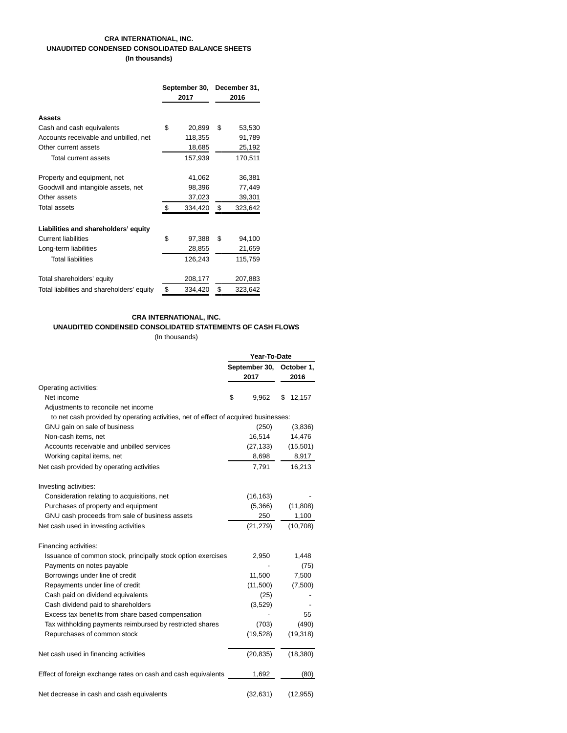## **CRA INTERNATIONAL, INC. UNAUDITED CONDENSED CONSOLIDATED BALANCE SHEETS (In thousands)**

|                                            | September 30,<br>2017 | December 31,<br>2016 |
|--------------------------------------------|-----------------------|----------------------|
|                                            |                       |                      |
| <b>Assets</b>                              |                       |                      |
| Cash and cash equivalents                  | \$<br>20,899          | \$<br>53,530         |
| Accounts receivable and unbilled, net      | 118,355               | 91,789               |
| Other current assets                       | 18,685                | 25,192               |
| Total current assets                       | 157,939               | 170,511              |
| Property and equipment, net                | 41,062                | 36,381               |
| Goodwill and intangible assets, net        | 98,396                | 77,449               |
| Other assets                               | 37,023                | 39,301               |
| Total assets                               | \$<br>334,420         | \$<br>323,642        |
| Liabilities and shareholders' equity       |                       |                      |
| <b>Current liabilities</b>                 | \$<br>97,388          | \$<br>94,100         |
| Long-term liabilities                      | 28,855                | 21,659               |
| <b>Total liabilities</b>                   | 126,243               | 115,759              |
| Total shareholders' equity                 | 208,177               | 207,883              |
| Total liabilities and shareholders' equity | \$<br>334,420         | \$<br>323,642        |

## **CRA INTERNATIONAL, INC.**

# **UNAUDITED CONDENSED CONSOLIDATED STATEMENTS OF CASH FLOWS**

(In thousands)

|                                                                                     | Year-To-Date  |   |            |  |  |
|-------------------------------------------------------------------------------------|---------------|---|------------|--|--|
|                                                                                     | September 30, |   | October 1, |  |  |
|                                                                                     | 2017          |   | 2016       |  |  |
| Operating activities:                                                               |               |   |            |  |  |
| Net income                                                                          | \$<br>9.962   | S | 12,157     |  |  |
| Adjustments to reconcile net income                                                 |               |   |            |  |  |
| to net cash provided by operating activities, net of effect of acquired businesses: |               |   |            |  |  |
| GNU gain on sale of business                                                        | (250)         |   | (3,836)    |  |  |
| Non-cash items, net                                                                 | 16,514        |   | 14,476     |  |  |
| Accounts receivable and unbilled services                                           | (27, 133)     |   | (15,501)   |  |  |
| Working capital items, net                                                          | 8,698         |   | 8,917      |  |  |
| Net cash provided by operating activities                                           | 7,791         |   | 16,213     |  |  |
| Investing activities:                                                               |               |   |            |  |  |
| Consideration relating to acquisitions, net                                         | (16, 163)     |   |            |  |  |
| Purchases of property and equipment                                                 | (5,366)       |   | (11, 808)  |  |  |
| GNU cash proceeds from sale of business assets                                      | 250           |   | 1,100      |  |  |
| Net cash used in investing activities                                               | (21, 279)     |   | (10, 708)  |  |  |
| Financing activities:                                                               |               |   |            |  |  |
| Issuance of common stock, principally stock option exercises                        | 2,950         |   | 1,448      |  |  |
| Payments on notes payable                                                           |               |   | (75)       |  |  |
| Borrowings under line of credit                                                     | 11,500        |   | 7,500      |  |  |
| Repayments under line of credit                                                     | (11,500)      |   | (7,500)    |  |  |
| Cash paid on dividend equivalents                                                   | (25)          |   |            |  |  |
| Cash dividend paid to shareholders                                                  | (3,529)       |   |            |  |  |
| Excess tax benefits from share based compensation                                   |               |   | 55         |  |  |
| Tax withholding payments reimbursed by restricted shares                            | (703)         |   | (490)      |  |  |
| Repurchases of common stock                                                         | (19, 528)     |   | (19, 318)  |  |  |
| Net cash used in financing activities                                               | (20, 835)     |   | (18, 380)  |  |  |
| Effect of foreign exchange rates on cash and cash equivalents                       | 1,692         |   | (80)       |  |  |
| Net decrease in cash and cash equivalents                                           | (32, 631)     |   | (12, 955)  |  |  |